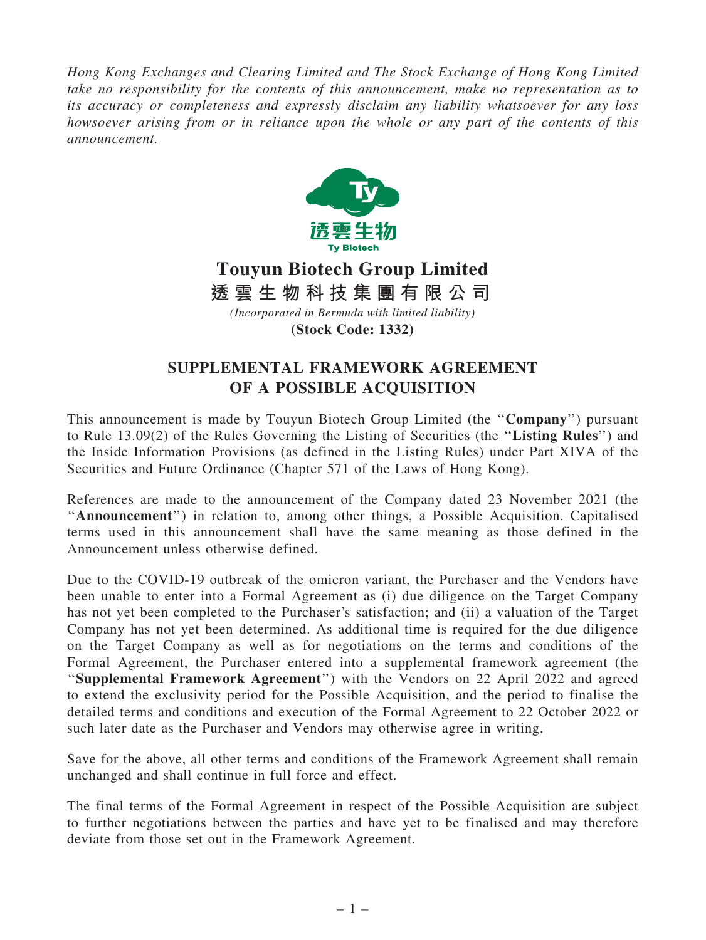*Hong Kong Exchanges and Clearing Limited and The Stock Exchange of Hong Kong Limited take no responsibility for the contents of this announcement, make no representation as to its accuracy or completeness and expressly disclaim any liability whatsoever for any loss howsoever arising from or in reliance upon the whole or any part of the contents of this announcement.*



## **Touyun Biotech Group Limited** *(Incorporated in Bermuda with limited liability)* **(Stock Code: 1332) 透 雲 生 物 科 技 集 團 有 限 公 司**

## SUPPLEMENTAL FRAMEWORK AGREEMENT OF A POSSIBLE ACQUISITION

This announcement is made by Touyun Biotech Group Limited (the "Company") pursuant to Rule 13.09(2) of the Rules Governing the Listing of Securities (the ''Listing Rules'') and the Inside Information Provisions (as defined in the Listing Rules) under Part XIVA of the Securities and Future Ordinance (Chapter 571 of the Laws of Hong Kong).

References are made to the announcement of the Company dated 23 November 2021 (the "Announcement") in relation to, among other things, a Possible Acquisition. Capitalised terms used in this announcement shall have the same meaning as those defined in the Announcement unless otherwise defined.

Due to the COVID-19 outbreak of the omicron variant, the Purchaser and the Vendors have been unable to enter into a Formal Agreement as (i) due diligence on the Target Company has not yet been completed to the Purchaser's satisfaction; and (ii) a valuation of the Target Company has not yet been determined. As additional time is required for the due diligence on the Target Company as well as for negotiations on the terms and conditions of the Formal Agreement, the Purchaser entered into a supplemental framework agreement (the ''Supplemental Framework Agreement'') with the Vendors on 22 April 2022 and agreed to extend the exclusivity period for the Possible Acquisition, and the period to finalise the detailed terms and conditions and execution of the Formal Agreement to 22 October 2022 or such later date as the Purchaser and Vendors may otherwise agree in writing.

Save for the above, all other terms and conditions of the Framework Agreement shall remain unchanged and shall continue in full force and effect.

The final terms of the Formal Agreement in respect of the Possible Acquisition are subject to further negotiations between the parties and have yet to be finalised and may therefore deviate from those set out in the Framework Agreement.